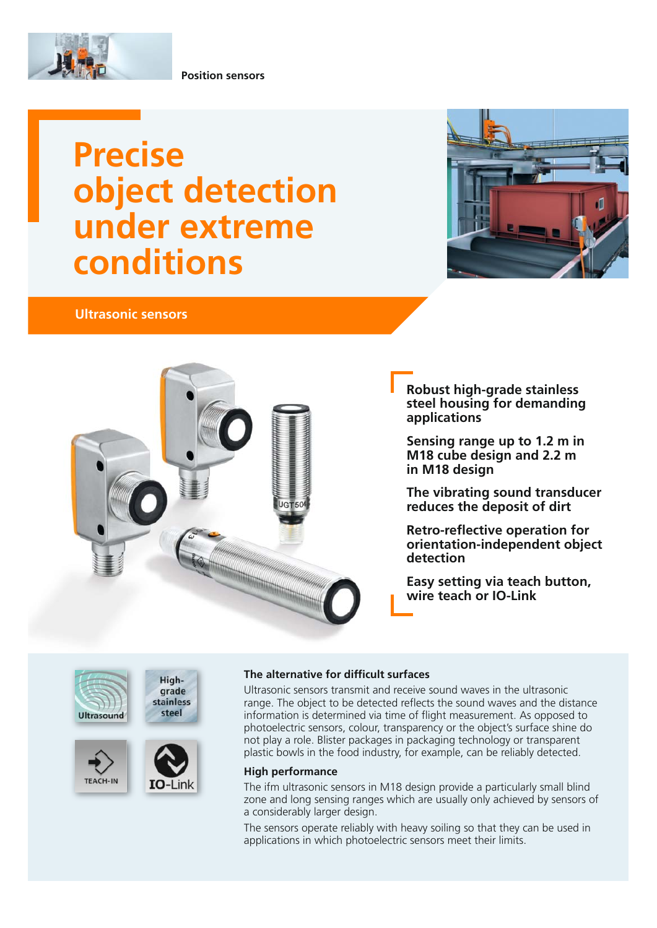

**Position sensors**

# **Precise object detection under extreme conditions**



### **Ultrasonic sensors**



**Robust high-grade stainless steel housing for demanding applications**

**Sensing range up to 1.2 m in M18 cube design and 2.2 m in M18 design**

**The vibrating sound transducer reduces the deposit of dirt**

**Retro-reflective operation for orientation-independent object detection**

**Easy setting via teach button, wire teach or IO-Link**









#### **The alternative for difficult surfaces**

Ultrasonic sensors transmit and receive sound waves in the ultrasonic range. The object to be detected reflects the sound waves and the distance information is determined via time of flight measurement. As opposed to photoelectric sensors, colour, transparency or the object's surface shine do not play a role. Blister packages in packaging technology or transparent plastic bowls in the food industry, for example, can be reliably detected.

#### **High performance**

The ifm ultrasonic sensors in M18 design provide a particularly small blind zone and long sensing ranges which are usually only achieved by sensors of a considerably larger design.

The sensors operate reliably with heavy soiling so that they can be used in applications in which photoelectric sensors meet their limits.